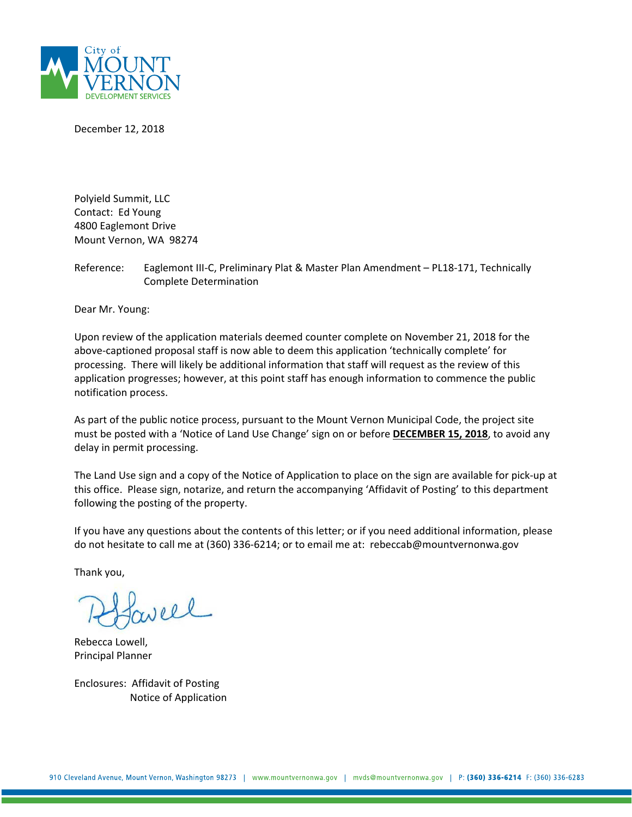

December 12, 2018

Polyield Summit, LLC Contact: Ed Young 4800 Eaglemont Drive Mount Vernon, WA 98274

Reference: Eaglemont III-C, Preliminary Plat & Master Plan Amendment – PL18-171, Technically Complete Determination

Dear Mr. Young:

Upon review of the application materials deemed counter complete on November 21, 2018 for the above-captioned proposal staff is now able to deem this application 'technically complete' for processing. There will likely be additional information that staff will request as the review of this application progresses; however, at this point staff has enough information to commence the public notification process.

As part of the public notice process, pursuant to the Mount Vernon Municipal Code, the project site must be posted with a 'Notice of Land Use Change' sign on or before **DECEMBER 15, 2018**, to avoid any delay in permit processing.

The Land Use sign and a copy of the Notice of Application to place on the sign are available for pick-up at this office. Please sign, notarize, and return the accompanying 'Affidavit of Posting' to this department following the posting of the property.

If you have any questions about the contents of this letter; or if you need additional information, please do not hesitate to call me at (360) 336-6214; or to email me at: rebeccab@mountvernonwa.gov

Thank you,

veel

Rebecca Lowell, Principal Planner

Enclosures: Affidavit of Posting Notice of Application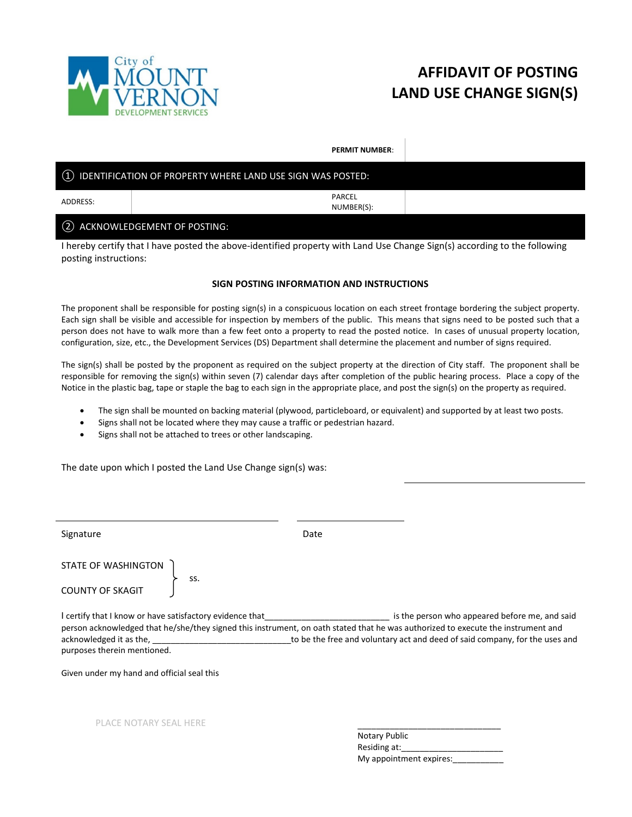

## **AFFIDAVIT OF POSTING LAND USE CHANGE SIGN(S)**

**PERMIT NUMBER**:

|          | 1) IDENTIFICATION OF PROPERTY WHERE LAND USE SIGN WAS POSTED: |  |
|----------|---------------------------------------------------------------|--|
| ADDRESS: | PARCEL<br>NUMBER(S):                                          |  |
|          | 2 ACKNOWLEDGEMENT OF POSTING:                                 |  |

I hereby certify that I have posted the above-identified property with Land Use Change Sign(s) according to the following posting instructions:

## **SIGN POSTING INFORMATION AND INSTRUCTIONS**

The proponent shall be responsible for posting sign(s) in a conspicuous location on each street frontage bordering the subject property. Each sign shall be visible and accessible for inspection by members of the public. This means that signs need to be posted such that a person does not have to walk more than a few feet onto a property to read the posted notice. In cases of unusual property location, configuration, size, etc., the Development Services (DS) Department shall determine the placement and number of signs required.

The sign(s) shall be posted by the proponent as required on the subject property at the direction of City staff. The proponent shall be responsible for removing the sign(s) within seven (7) calendar days after completion of the public hearing process. Place a copy of the Notice in the plastic bag, tape or staple the bag to each sign in the appropriate place, and post the sign(s) on the property as required.

- The sign shall be mounted on backing material (plywood, particleboard, or equivalent) and supported by at least two posts.
- Signs shall not be located where they may cause a traffic or pedestrian hazard.
- Signs shall not be attached to trees or other landscaping.

The date upon which I posted the Land Use Change sign(s) was:

| Signature                                                                                                                                        | Date                                                                                                                                                                                                                                                              |
|--------------------------------------------------------------------------------------------------------------------------------------------------|-------------------------------------------------------------------------------------------------------------------------------------------------------------------------------------------------------------------------------------------------------------------|
| STATE OF WASHINGTON<br>SS.<br><b>COUNTY OF SKAGIT</b>                                                                                            |                                                                                                                                                                                                                                                                   |
| I certify that I know or have satisfactory evidence that________________________<br>acknowledged it as the, _____<br>purposes therein mentioned. | is the person who appeared before me, and said<br>person acknowledged that he/she/they signed this instrument, on oath stated that he was authorized to execute the instrument and<br>to be the free and voluntary act and deed of said company, for the uses and |
| Given under my hand and official seal this                                                                                                       |                                                                                                                                                                                                                                                                   |
| PLACE NOTARY SEAL HERE                                                                                                                           | Notary Public                                                                                                                                                                                                                                                     |

Residing at: My appointment expires: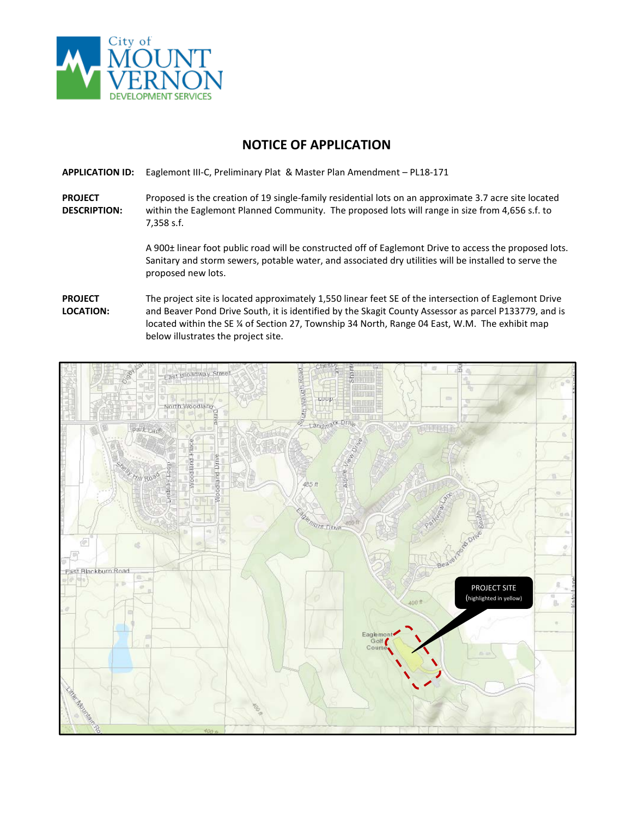

## **NOTICE OF APPLICATION**

**APPLICATION ID:** Eaglemont III-C, Preliminary Plat & Master Plan Amendment – PL18-171

**PROJECT DESCRIPTION:** Proposed is the creation of 19 single-family residential lots on an approximate 3.7 acre site located within the Eaglemont Planned Community. The proposed lots will range in size from 4,656 s.f. to 7,358 s.f.

> A 900± linear foot public road will be constructed off of Eaglemont Drive to access the proposed lots. Sanitary and storm sewers, potable water, and associated dry utilities will be installed to serve the proposed new lots.

## **PROJECT LOCATION:** The project site is located approximately 1,550 linear feet SE of the intersection of Eaglemont Drive and Beaver Pond Drive South, it is identified by the Skagit County Assessor as parcel P133779, and is located within the SE % of Section 27, Township 34 North, Range 04 East, W.M. The exhibit map below illustrates the project site.